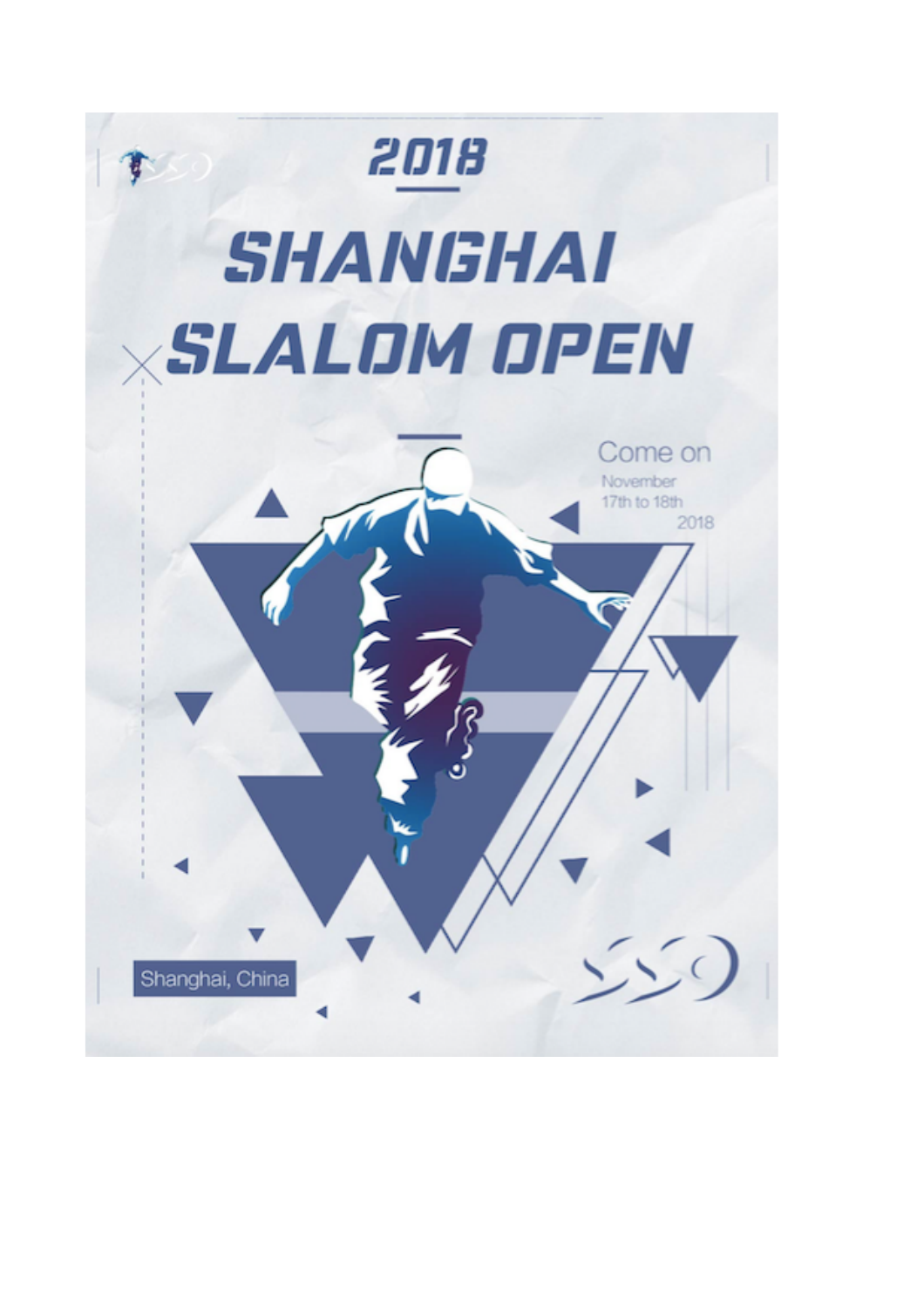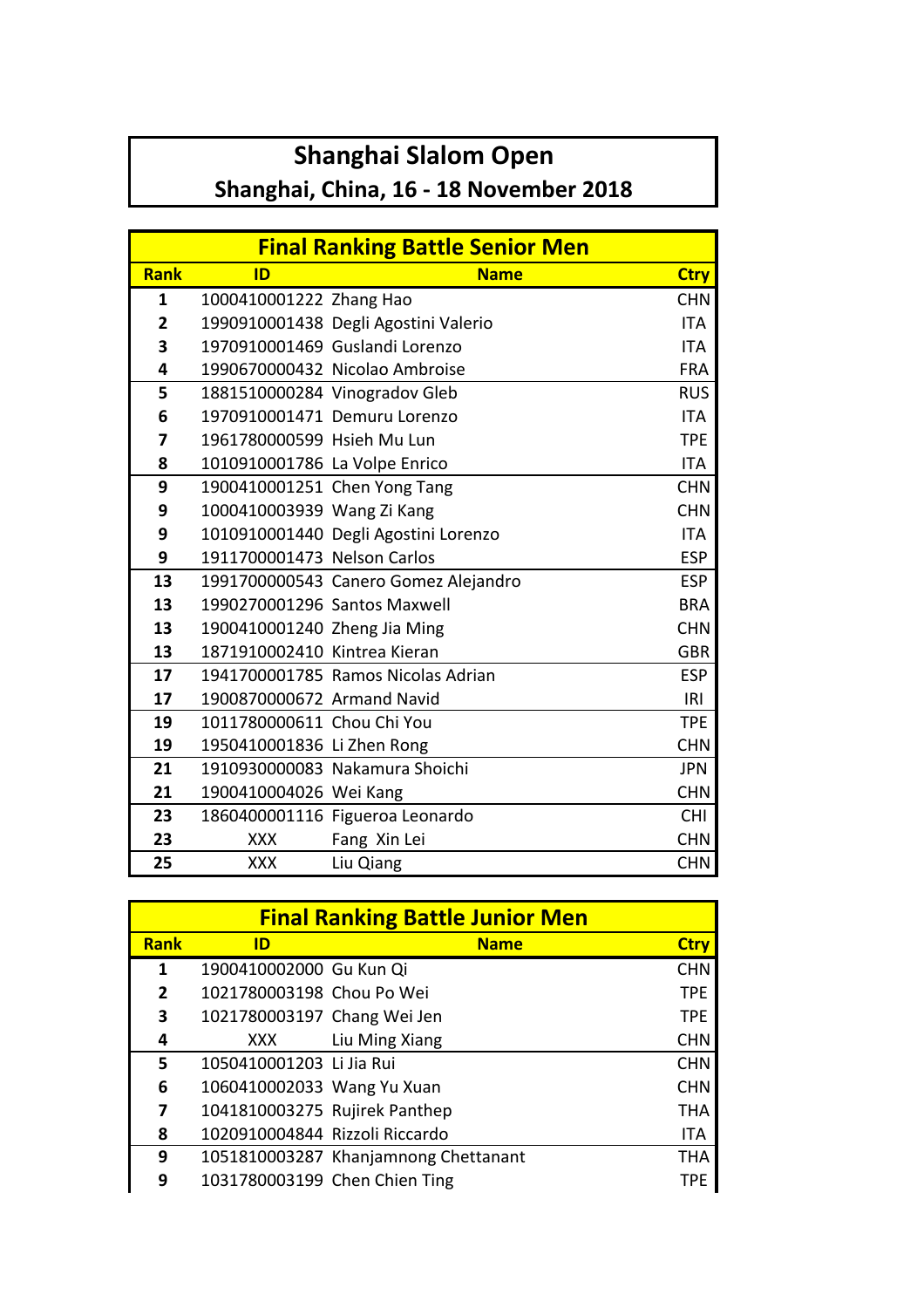## **Shanghai Slalom Open**

## Shanghai, China, 16 - 18 November 2018

|             |                               | <b>Final Ranking Battle Senior Men</b> |             |
|-------------|-------------------------------|----------------------------------------|-------------|
| <b>Rank</b> | ID                            | <b>Name</b>                            | <b>Ctry</b> |
| 1           | 1000410001222 Zhang Hao       |                                        | <b>CHN</b>  |
| 2           |                               | 1990910001438 Degli Agostini Valerio   | <b>ITA</b>  |
| 3           |                               | 1970910001469 Guslandi Lorenzo         | <b>ITA</b>  |
| 4           |                               | 1990670000432 Nicolao Ambroise         | <b>FRA</b>  |
| 5           |                               | 1881510000284 Vinogradov Gleb          | <b>RUS</b>  |
| 6           |                               | 1970910001471 Demuru Lorenzo           | <b>ITA</b>  |
| 7           | 1961780000599 Hsieh Mu Lun    |                                        | <b>TPE</b>  |
| 8           | 1010910001786 La Volpe Enrico |                                        | ITA         |
| 9           | 1900410001251 Chen Yong Tang  |                                        | <b>CHN</b>  |
| 9           | 1000410003939 Wang Zi Kang    |                                        | <b>CHN</b>  |
| 9           |                               | 1010910001440 Degli Agostini Lorenzo   | <b>ITA</b>  |
| 9           | 1911700001473 Nelson Carlos   |                                        | <b>ESP</b>  |
| 13          |                               | 1991700000543 Canero Gomez Alejandro   | <b>ESP</b>  |
| 13          | 1990270001296 Santos Maxwell  |                                        | <b>BRA</b>  |
| 13          | 1900410001240 Zheng Jia Ming  |                                        | <b>CHN</b>  |
| 13          | 1871910002410 Kintrea Kieran  |                                        | <b>GBR</b>  |
| 17          |                               | 1941700001785 Ramos Nicolas Adrian     | <b>ESP</b>  |
| 17          | 1900870000672 Armand Navid    |                                        | IRI         |
| 19          | 1011780000611 Chou Chi You    |                                        | <b>TPE</b>  |
| 19          | 1950410001836 Li Zhen Rong    |                                        | <b>CHN</b>  |
| 21          |                               | 1910930000083 Nakamura Shoichi         | <b>JPN</b>  |
| 21          | 1900410004026 Wei Kang        |                                        | <b>CHN</b>  |
| 23          |                               | 1860400001116 Figueroa Leonardo        | <b>CHI</b>  |
| 23          | <b>XXX</b>                    | Fang Xin Lei                           | <b>CHN</b>  |
| 25          | <b>XXX</b>                    | Liu Qiang                              | <b>CHN</b>  |

|             |                                | <b>Final Ranking Battle Junior Men</b> |             |
|-------------|--------------------------------|----------------------------------------|-------------|
| <b>Rank</b> | ID                             | <b>Name</b>                            | <b>Ctry</b> |
| 1           | 1900410002000 Gu Kun Qi        |                                        | <b>CHN</b>  |
| 2           | 1021780003198 Chou Po Wei      |                                        | <b>TPE</b>  |
| 3           | 1021780003197 Chang Wei Jen    |                                        | <b>TPE</b>  |
| 4           | XXX                            | Liu Ming Xiang                         | <b>CHN</b>  |
| 5           | 1050410001203 Li Jia Rui       |                                        | <b>CHN</b>  |
| 6           | 1060410002033 Wang Yu Xuan     |                                        | <b>CHN</b>  |
| 7           | 1041810003275 Rujirek Panthep  |                                        | <b>THA</b>  |
| 8           | 1020910004844 Rizzoli Riccardo |                                        | <b>ITA</b>  |
| 9           |                                | 1051810003287 Khanjamnong Chettanant   | <b>THA</b>  |
| 9           |                                | 1031780003199 Chen Chien Ting          | TPF         |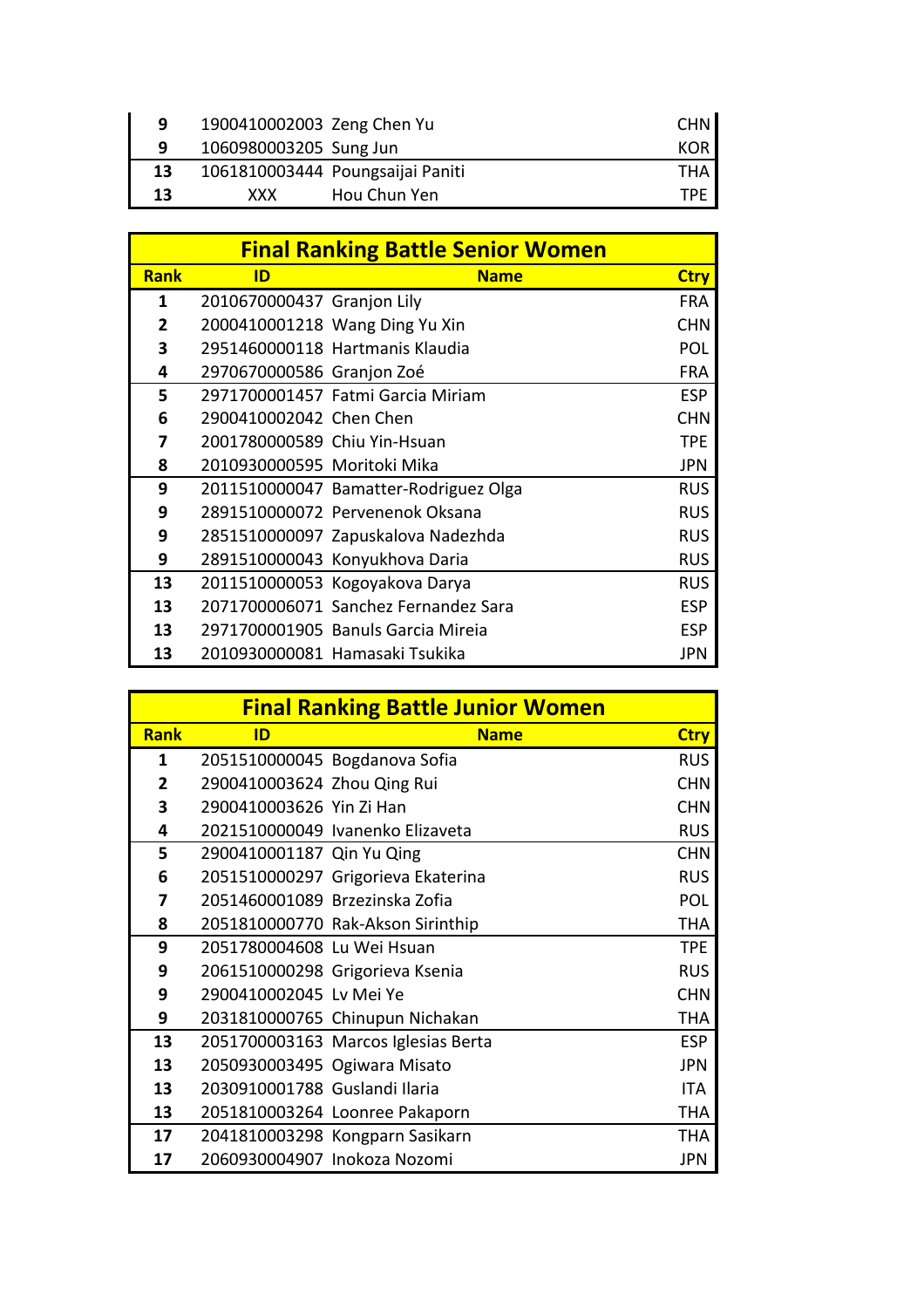| q  | 1900410002003 Zeng Chen Yu |                                  | CHN I |
|----|----------------------------|----------------------------------|-------|
| q  | 1060980003205 Sung Jun     |                                  | KOR I |
| 13 |                            | 1061810003444 Poungsaijai Paniti | THA   |
| 13 | <b>XXX</b>                 | Hou Chun Yen                     | TPF   |

|             |                              | <b>Final Ranking Battle Senior Women</b> |             |
|-------------|------------------------------|------------------------------------------|-------------|
| <b>Rank</b> | ID                           | <b>Name</b>                              | <b>Ctry</b> |
| 1           | 2010670000437 Granjon Lily   |                                          | <b>FRA</b>  |
| 2           |                              | 2000410001218 Wang Ding Yu Xin           | <b>CHN</b>  |
| 3           |                              | 2951460000118 Hartmanis Klaudia          | <b>POL</b>  |
| 4           | 2970670000586 Granjon Zoé    |                                          | <b>FRA</b>  |
| 5           |                              | 2971700001457 Fatmi Garcia Miriam        | <b>ESP</b>  |
| 6           | 2900410002042 Chen Chen      |                                          | <b>CHN</b>  |
| 7           | 2001780000589 Chiu Yin-Hsuan |                                          | <b>TPE</b>  |
| 8           | 2010930000595 Moritoki Mika  |                                          | <b>JPN</b>  |
| 9           |                              | 2011510000047 Bamatter-Rodriguez Olga    | <b>RUS</b>  |
| 9           |                              | 2891510000072 Pervenenok Oksana          | <b>RUS</b>  |
| 9           |                              | 2851510000097 Zapuskalova Nadezhda       | <b>RUS</b>  |
| 9           |                              | 2891510000043 Konyukhova Daria           | <b>RUS</b>  |
| 13          |                              | 2011510000053 Kogoyakova Darya           | <b>RUS</b>  |
| 13          |                              | 2071700006071 Sanchez Fernandez Sara     | <b>ESP</b>  |
| 13          |                              | 2971700001905 Banuls Garcia Mireia       | <b>ESP</b>  |
| 13          |                              | 2010930000081 Hamasaki Tsukika           | JPN         |

|                |                                | <b>Final Ranking Battle Junior Women</b> |             |
|----------------|--------------------------------|------------------------------------------|-------------|
| <b>Rank</b>    | ID                             | <b>Name</b>                              | <b>Ctry</b> |
| 1              |                                | 2051510000045 Bogdanova Sofia            | <b>RUS</b>  |
| $\overline{2}$ | 2900410003624 Zhou Qing Rui    |                                          | <b>CHN</b>  |
| 3              | 2900410003626 Yin Zi Han       |                                          | <b>CHN</b>  |
| 4              |                                | 2021510000049 Ivanenko Elizaveta         | <b>RUS</b>  |
| 5              | 2900410001187 Qin Yu Qing      |                                          | <b>CHN</b>  |
| 6              |                                | 2051510000297 Grigorieva Ekaterina       | <b>RUS</b>  |
| 7              | 2051460001089 Brzezinska Zofia |                                          | POL         |
| 8              |                                | 2051810000770 Rak-Akson Sirinthip        | THA         |
| 9              | 2051780004608 Lu Wei Hsuan     |                                          | <b>TPE</b>  |
| 9              |                                | 2061510000298 Grigorieva Ksenia          | <b>RUS</b>  |
| 9              | 2900410002045 Lv Mei Ye        |                                          | <b>CHN</b>  |
| 9              |                                | 2031810000765 Chinupun Nichakan          | <b>THA</b>  |
| 13             |                                | 2051700003163 Marcos Iglesias Berta      | <b>ESP</b>  |
| 13             | 2050930003495 Ogiwara Misato   |                                          | <b>JPN</b>  |
| 13             | 2030910001788 Guslandi Ilaria  |                                          | ITA         |
| 13             |                                | 2051810003264 Loonree Pakaporn           | <b>THA</b>  |
| 17             |                                | 2041810003298 Kongparn Sasikarn          | THA         |
| 17             | 2060930004907 Inokoza Nozomi   |                                          | JPN         |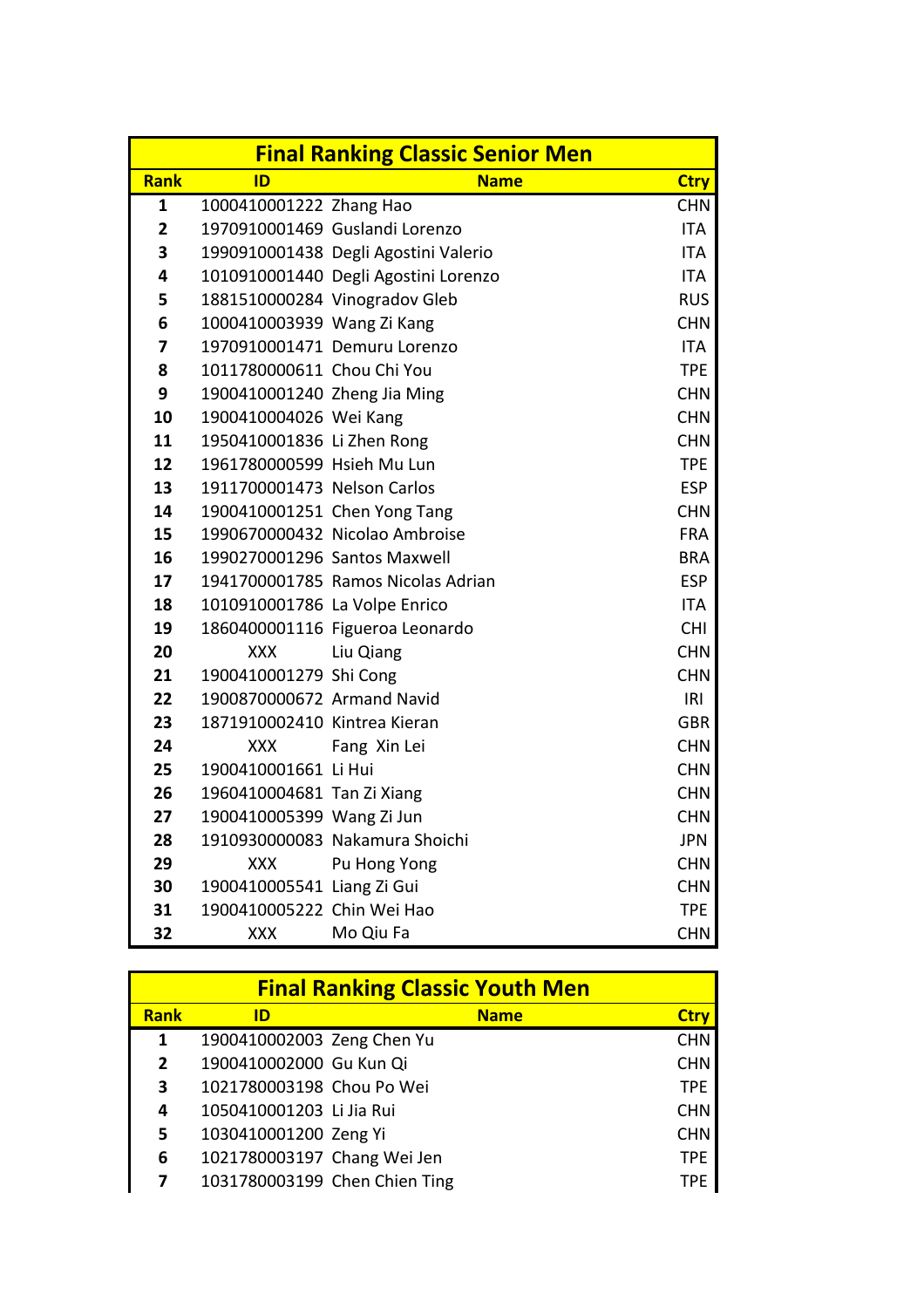|                         |                               | <b>Final Ranking Classic Senior Men</b> |             |
|-------------------------|-------------------------------|-----------------------------------------|-------------|
| <b>Rank</b>             | ID                            | <b>Name</b>                             | <b>Ctry</b> |
| $\mathbf{1}$            | 1000410001222 Zhang Hao       |                                         | <b>CHN</b>  |
| $\overline{\mathbf{2}}$ |                               | 1970910001469 Guslandi Lorenzo          | <b>ITA</b>  |
| 3                       |                               | 1990910001438 Degli Agostini Valerio    | <b>ITA</b>  |
| 4                       |                               | 1010910001440 Degli Agostini Lorenzo    | <b>ITA</b>  |
| 5                       |                               | 1881510000284 Vinogradov Gleb           | <b>RUS</b>  |
| 6                       | 1000410003939 Wang Zi Kang    |                                         | <b>CHN</b>  |
| 7                       |                               | 1970910001471 Demuru Lorenzo            | <b>ITA</b>  |
| 8                       | 1011780000611 Chou Chi You    |                                         | <b>TPE</b>  |
| 9                       | 1900410001240 Zheng Jia Ming  |                                         | <b>CHN</b>  |
| 10                      | 1900410004026 Wei Kang        |                                         | <b>CHN</b>  |
| 11                      | 1950410001836 Li Zhen Rong    |                                         | <b>CHN</b>  |
| 12                      | 1961780000599 Hsieh Mu Lun    |                                         | <b>TPE</b>  |
| 13                      | 1911700001473 Nelson Carlos   |                                         | <b>ESP</b>  |
| 14                      |                               | 1900410001251 Chen Yong Tang            | <b>CHN</b>  |
| 15                      |                               | 1990670000432 Nicolao Ambroise          | <b>FRA</b>  |
| 16                      | 1990270001296 Santos Maxwell  |                                         | <b>BRA</b>  |
| 17                      |                               | 1941700001785 Ramos Nicolas Adrian      | <b>ESP</b>  |
| 18                      | 1010910001786 La Volpe Enrico |                                         | <b>ITA</b>  |
| 19                      |                               | 1860400001116 Figueroa Leonardo         | <b>CHI</b>  |
| 20                      | <b>XXX</b>                    | Liu Qiang                               | <b>CHN</b>  |
| 21                      | 1900410001279 Shi Cong        |                                         | <b>CHN</b>  |
| 22                      | 1900870000672 Armand Navid    |                                         | IRI         |
| 23                      | 1871910002410 Kintrea Kieran  |                                         | <b>GBR</b>  |
| 24                      | XXX                           | Fang Xin Lei                            | <b>CHN</b>  |
| 25                      | 1900410001661 Li Hui          |                                         | <b>CHN</b>  |
| 26                      | 1960410004681 Tan Zi Xiang    |                                         | <b>CHN</b>  |
| 27                      | 1900410005399 Wang Zi Jun     |                                         | <b>CHN</b>  |
| 28                      |                               | 1910930000083 Nakamura Shoichi          | <b>JPN</b>  |
| 29                      | XXX                           | Pu Hong Yong                            | <b>CHN</b>  |
| 30                      | 1900410005541 Liang Zi Gui    |                                         | <b>CHN</b>  |
| 31                      | 1900410005222 Chin Wei Hao    |                                         | <b>TPE</b>  |
| 32                      | <b>XXX</b>                    | Mo Qiu Fa                               | <b>CHN</b>  |

|             |                             | <b>Final Ranking Classic Youth Men</b> |             |
|-------------|-----------------------------|----------------------------------------|-------------|
| <b>Rank</b> | ID                          | <b>Name</b>                            | <b>Ctry</b> |
| 1           | 1900410002003 Zeng Chen Yu  |                                        | <b>CHN</b>  |
| 2           | 1900410002000 Gu Kun Qi     |                                        | <b>CHN</b>  |
| 3           | 1021780003198 Chou Po Wei   |                                        | <b>TPE</b>  |
| 4           | 1050410001203 Li Jia Rui    |                                        | <b>CHN</b>  |
| 5           | 1030410001200 Zeng Yi       |                                        | <b>CHN</b>  |
| 6           | 1021780003197 Chang Wei Jen |                                        | <b>TPE</b>  |
|             |                             | 1031780003199 Chen Chien Ting          | TPF         |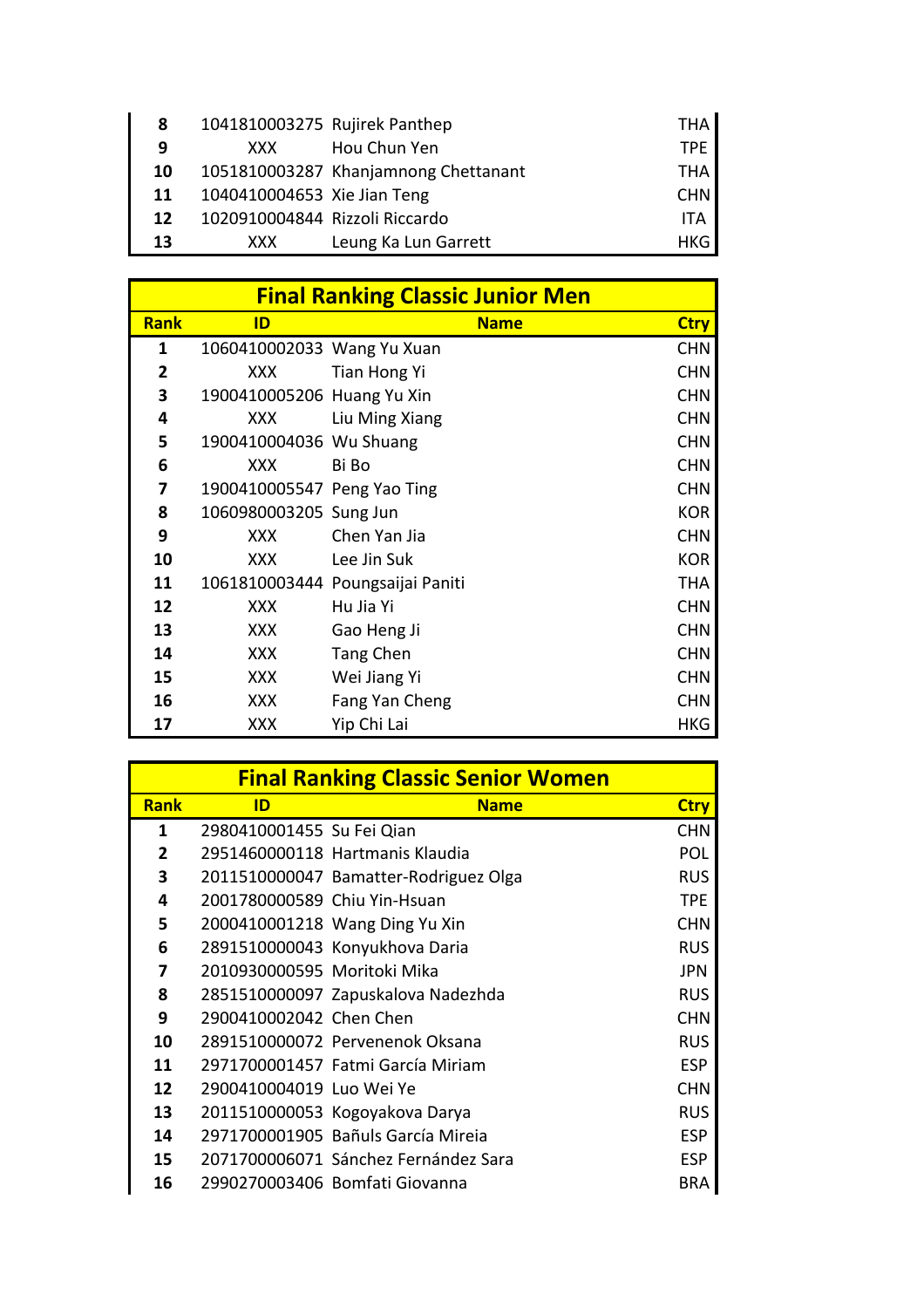| 8  | 1041810003275 Rujirek Panthep  |                                      | THA        |
|----|--------------------------------|--------------------------------------|------------|
| 9  | XXX.                           | Hou Chun Yen                         | TPF.       |
| 10 |                                | 1051810003287 Khanjamnong Chettanant | THA.       |
| 11 | 1040410004653 Xie Jian Teng    |                                      | <b>CHN</b> |
| 12 | 1020910004844 Rizzoli Riccardo |                                      | <b>ITA</b> |
| 13 | XXX.                           | Leung Ka Lun Garrett                 | HKG        |

|             |                             | <b>Final Ranking Classic Junior Men</b> |             |
|-------------|-----------------------------|-----------------------------------------|-------------|
| <b>Rank</b> | ID                          | <b>Name</b>                             | <b>Ctry</b> |
| 1           | 1060410002033 Wang Yu Xuan  |                                         | <b>CHN</b>  |
| 2           | XXX                         | Tian Hong Yi                            | <b>CHN</b>  |
| 3           | 1900410005206 Huang Yu Xin  |                                         | <b>CHN</b>  |
| 4           | <b>XXX</b>                  | Liu Ming Xiang                          | <b>CHN</b>  |
| 5           | 1900410004036 Wu Shuang     |                                         | <b>CHN</b>  |
| 6           | XXX                         | Bi Bo                                   | <b>CHN</b>  |
| 7           | 1900410005547 Peng Yao Ting |                                         | <b>CHN</b>  |
| 8           | 1060980003205 Sung Jun      |                                         | <b>KOR</b>  |
| 9           | XXX                         | Chen Yan Jia                            | <b>CHN</b>  |
| 10          | XXX.                        | Lee Jin Suk                             | <b>KOR</b>  |
| 11          |                             | 1061810003444 Poungsaijai Paniti        | <b>THA</b>  |
| 12          | XXX                         | Hu Jia Yi                               | <b>CHN</b>  |
| 13          | XXX                         | Gao Heng Ji                             | <b>CHN</b>  |
| 14          | XXX                         | Tang Chen                               | <b>CHN</b>  |
| 15          | <b>XXX</b>                  | Wei Jiang Yi                            | <b>CHN</b>  |
| 16          | XXX                         | Fang Yan Cheng                          | <b>CHN</b>  |
| 17          | XXX                         | Yip Chi Lai                             | <b>HKG</b>  |

|              |                              | <b>Final Ranking Classic Senior Women</b> |             |
|--------------|------------------------------|-------------------------------------------|-------------|
| <b>Rank</b>  | ID                           | <b>Name</b>                               | <b>Ctry</b> |
| 1            | 2980410001455 Su Fei Qian    |                                           | <b>CHN</b>  |
| $\mathbf{2}$ |                              | 2951460000118 Hartmanis Klaudia           | <b>POL</b>  |
| 3            |                              | 2011510000047 Bamatter-Rodriguez Olga     | <b>RUS</b>  |
| 4            | 2001780000589 Chiu Yin-Hsuan |                                           | <b>TPE</b>  |
| 5            |                              | 2000410001218 Wang Ding Yu Xin            | <b>CHN</b>  |
| 6            |                              | 2891510000043 Konyukhova Daria            | <b>RUS</b>  |
| 7            | 2010930000595 Moritoki Mika  |                                           | <b>JPN</b>  |
| 8            |                              | 2851510000097 Zapuskalova Nadezhda        | <b>RUS</b>  |
| 9            | 2900410002042 Chen Chen      |                                           | <b>CHN</b>  |
| 10           |                              | 2891510000072 Pervenenok Oksana           | <b>RUS</b>  |
| 11           |                              | 2971700001457 Fatmi García Miriam         | <b>ESP</b>  |
| 12           | 2900410004019 Luo Wei Ye     |                                           | <b>CHN</b>  |
| 13           |                              | 2011510000053 Kogoyakova Darya            | <b>RUS</b>  |
| 14           |                              | 2971700001905 Bañuls García Mireia        | <b>ESP</b>  |
| 15           |                              | 2071700006071 Sánchez Fernández Sara      | <b>ESP</b>  |
| 16           |                              | 2990270003406 Bomfati Giovanna            | <b>BRA</b>  |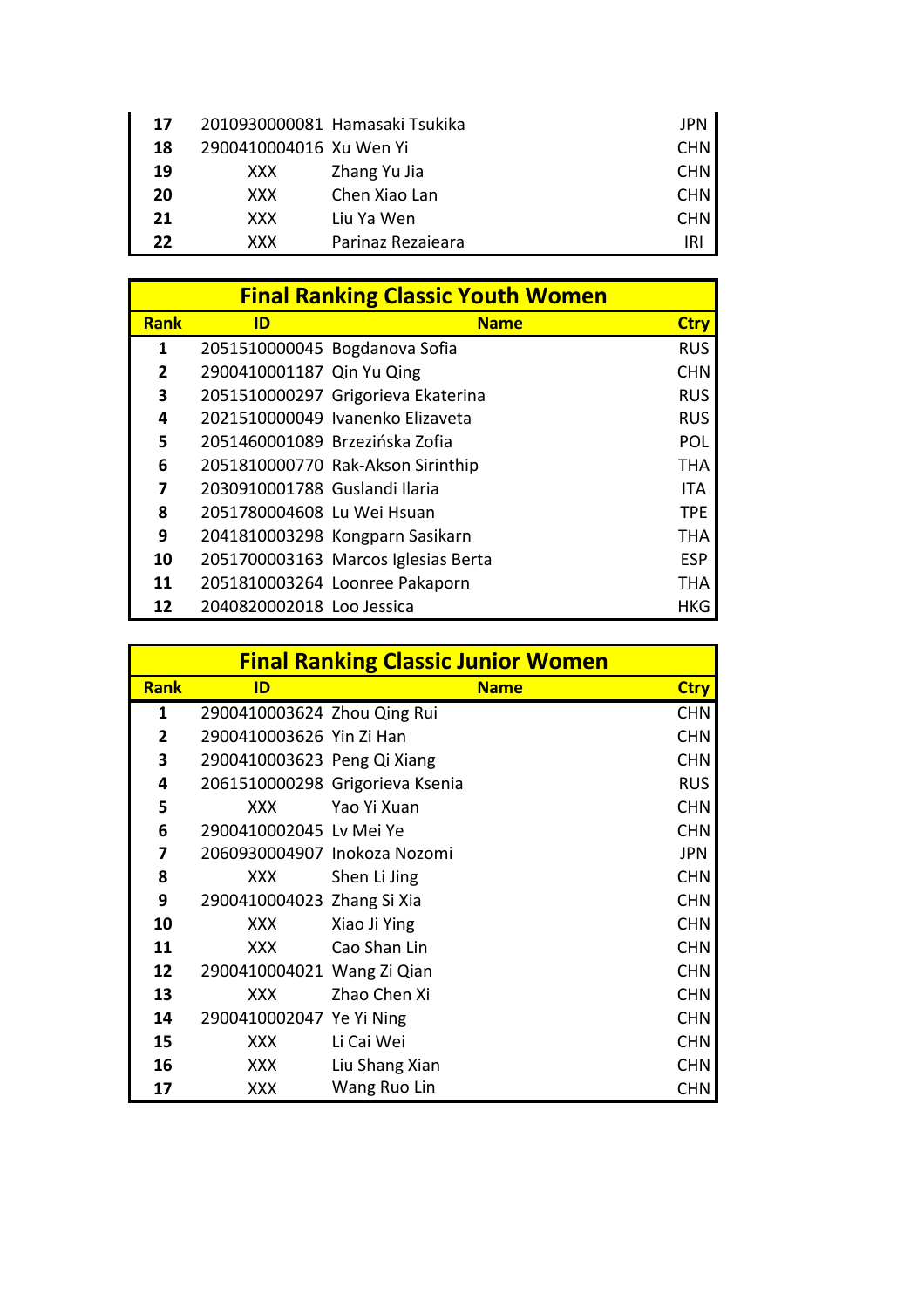| 17 |                         | 2010930000081 Hamasaki Tsukika | JPN        |
|----|-------------------------|--------------------------------|------------|
| 18 | 2900410004016 Xu Wen Yi |                                | <b>CHN</b> |
| 19 | XXX.                    | Zhang Yu Jia                   | <b>CHN</b> |
| 20 | XXX.                    | Chen Xiao Lan                  | <b>CHN</b> |
| 21 | <b>XXX</b>              | Liu Ya Wen                     | <b>CHN</b> |
| 22 | XXX.                    | Parinaz Rezaieara              | IRI        |

|             | <b>Final Ranking Classic Youth Women</b> |                                     |             |  |
|-------------|------------------------------------------|-------------------------------------|-------------|--|
| <b>Rank</b> | ID                                       | <b>Name</b>                         | <b>Ctry</b> |  |
| 1           |                                          | 2051510000045 Bogdanova Sofia       | <b>RUS</b>  |  |
| 2           | 2900410001187 Qin Yu Qing                |                                     | <b>CHN</b>  |  |
| 3           |                                          | 2051510000297 Grigorieva Ekaterina  | <b>RUS</b>  |  |
| 4           |                                          | 2021510000049 Ivanenko Elizaveta    | <b>RUS</b>  |  |
| 5           | 2051460001089 Brzezińska Zofia           |                                     | POL         |  |
| 6           |                                          | 2051810000770 Rak-Akson Sirinthip   | <b>THA</b>  |  |
| 7           | 2030910001788 Guslandi Ilaria            |                                     | <b>ITA</b>  |  |
| 8           | 2051780004608 Lu Wei Hsuan               |                                     | <b>TPF</b>  |  |
| 9           |                                          | 2041810003298 Kongparn Sasikarn     | <b>THA</b>  |  |
| 10          |                                          | 2051700003163 Marcos Iglesias Berta | <b>ESP</b>  |  |
| 11          |                                          | 2051810003264 Loonree Pakaporn      | <b>THA</b>  |  |
| 12          | 2040820002018 Loo Jessica                |                                     | HKG         |  |

|                | <b>Final Ranking Classic Junior Women</b> |                                 |             |  |
|----------------|-------------------------------------------|---------------------------------|-------------|--|
| <b>Rank</b>    | ID                                        | <b>Name</b>                     | <b>Ctry</b> |  |
| 1              | 2900410003624 Zhou Qing Rui               |                                 | <b>CHN</b>  |  |
| $\overline{2}$ | 2900410003626 Yin Zi Han                  |                                 | <b>CHN</b>  |  |
| 3              | 2900410003623 Peng Qi Xiang               |                                 | <b>CHN</b>  |  |
| 4              |                                           | 2061510000298 Grigorieva Ksenia | <b>RUS</b>  |  |
| 5              | XXX                                       | Yao Yi Xuan                     | <b>CHN</b>  |  |
| 6              | 2900410002045 Lv Mei Ye                   |                                 | <b>CHN</b>  |  |
| 7              | 2060930004907 Inokoza Nozomi              |                                 | JPN         |  |
| 8              | XXX                                       | Shen Li Jing                    | <b>CHN</b>  |  |
| 9              | 2900410004023 Zhang Si Xia                |                                 | <b>CHN</b>  |  |
| 10             | <b>XXX</b>                                | Xiao Ji Ying                    | <b>CHN</b>  |  |
| 11             | XXX.                                      | Cao Shan Lin                    | <b>CHN</b>  |  |
| 12             | 2900410004021 Wang Zi Qian                |                                 | <b>CHN</b>  |  |
| 13             | <b>XXX</b>                                | Zhao Chen Xi                    | <b>CHN</b>  |  |
| 14             | 2900410002047 Ye Yi Ning                  |                                 | <b>CHN</b>  |  |
| 15             | <b>XXX</b>                                | Li Cai Wei                      | <b>CHN</b>  |  |
| 16             | XXX                                       | Liu Shang Xian                  | <b>CHN</b>  |  |
| 17             | <b>XXX</b>                                | Wang Ruo Lin                    | <b>CHN</b>  |  |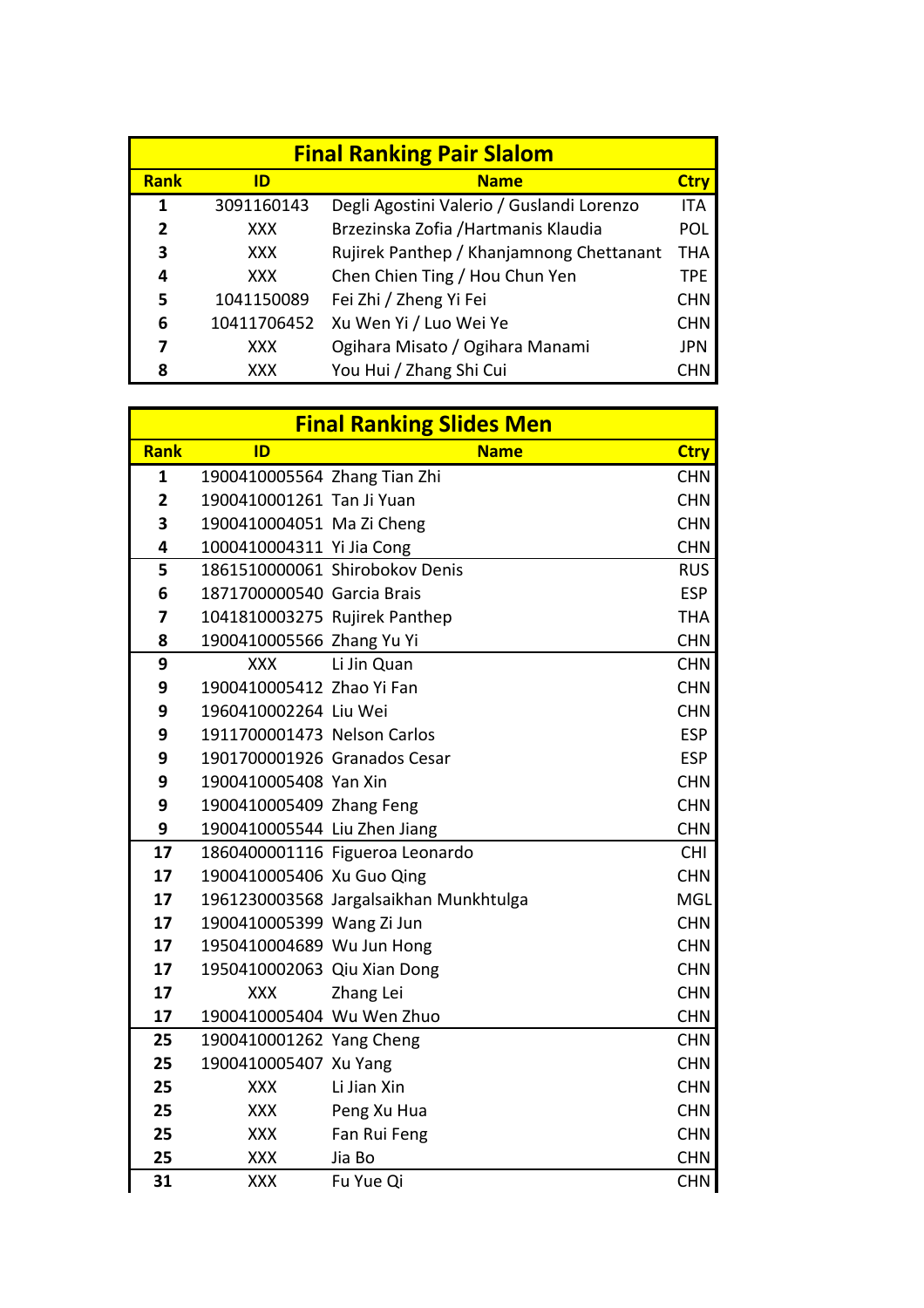| <b>Final Ranking Pair Slalom</b> |             |                                           |            |  |
|----------------------------------|-------------|-------------------------------------------|------------|--|
| <b>Rank</b>                      | ID          | <b>Name</b>                               | Ctrv       |  |
| 1                                | 3091160143  | Degli Agostini Valerio / Guslandi Lorenzo | <b>ITA</b> |  |
| 2                                | <b>XXX</b>  | Brzezinska Zofia /Hartmanis Klaudia       | <b>POL</b> |  |
| 3                                | <b>XXX</b>  | Rujirek Panthep / Khanjamnong Chettanant  | THA        |  |
| 4                                | XXX         | Chen Chien Ting / Hou Chun Yen            | <b>TPE</b> |  |
| 5                                | 1041150089  | Fei Zhi / Zheng Yi Fei                    | <b>CHN</b> |  |
| 6                                | 10411706452 | Xu Wen Yi / Luo Wei Ye                    | <b>CHN</b> |  |
|                                  | XXX         | Ogihara Misato / Ogihara Manami           | JPN        |  |
| 8                                | XXX         | You Hui / Zhang Shi Cui                   |            |  |

|                | <b>Final Ranking Slides Men</b> |                                        |             |  |  |
|----------------|---------------------------------|----------------------------------------|-------------|--|--|
| <b>Rank</b>    | ID                              | <b>Name</b>                            | <b>Ctry</b> |  |  |
| $\mathbf{1}$   | 1900410005564 Zhang Tian Zhi    |                                        | <b>CHN</b>  |  |  |
| $\overline{2}$ | 1900410001261 Tan Ji Yuan       |                                        | <b>CHN</b>  |  |  |
| 3              | 1900410004051 Ma Zi Cheng       |                                        | <b>CHN</b>  |  |  |
| 4              | 1000410004311 Yi Jia Cong       |                                        | <b>CHN</b>  |  |  |
| 5              |                                 | 1861510000061 Shirobokov Denis         | <b>RUS</b>  |  |  |
| 6              | 1871700000540 Garcia Brais      |                                        | <b>ESP</b>  |  |  |
| 7              | 1041810003275 Rujirek Panthep   |                                        | <b>THA</b>  |  |  |
| 8              | 1900410005566 Zhang Yu Yi       |                                        | <b>CHN</b>  |  |  |
| 9              | <b>XXX</b>                      | Li Jin Quan                            | <b>CHN</b>  |  |  |
| 9              | 1900410005412 Zhao Yi Fan       |                                        | <b>CHN</b>  |  |  |
| 9              | 1960410002264 Liu Wei           |                                        | <b>CHN</b>  |  |  |
| 9              | 1911700001473 Nelson Carlos     |                                        | <b>ESP</b>  |  |  |
| 9              | 1901700001926 Granados Cesar    |                                        | <b>ESP</b>  |  |  |
| 9              | 1900410005408 Yan Xin           |                                        | <b>CHN</b>  |  |  |
| 9              | 1900410005409 Zhang Feng        |                                        | <b>CHN</b>  |  |  |
| 9              | 1900410005544 Liu Zhen Jiang    |                                        | <b>CHN</b>  |  |  |
| 17             |                                 | 1860400001116 Figueroa Leonardo        | <b>CHI</b>  |  |  |
| 17             | 1900410005406 Xu Guo Qing       |                                        | <b>CHN</b>  |  |  |
| 17             |                                 | 1961230003568 Jargalsaikhan Munkhtulga | <b>MGL</b>  |  |  |
| 17             | 1900410005399 Wang Zi Jun       |                                        | <b>CHN</b>  |  |  |
| 17             | 1950410004689 Wu Jun Hong       |                                        | <b>CHN</b>  |  |  |
| 17             | 1950410002063 Qiu Xian Dong     |                                        | <b>CHN</b>  |  |  |
| 17             | <b>XXX</b>                      | Zhang Lei                              | <b>CHN</b>  |  |  |
| 17             | 1900410005404 Wu Wen Zhuo       |                                        | <b>CHN</b>  |  |  |
| 25             | 1900410001262 Yang Cheng        |                                        | <b>CHN</b>  |  |  |
| 25             | 1900410005407 Xu Yang           |                                        | <b>CHN</b>  |  |  |
| 25             | XXX                             | Li Jian Xin                            | <b>CHN</b>  |  |  |
| 25             | <b>XXX</b>                      | Peng Xu Hua                            | <b>CHN</b>  |  |  |
| 25             | <b>XXX</b>                      | Fan Rui Feng                           | <b>CHN</b>  |  |  |
| 25             | <b>XXX</b>                      | Jia Bo                                 | <b>CHN</b>  |  |  |
| 31             | <b>XXX</b>                      | Fu Yue Qi                              | <b>CHN</b>  |  |  |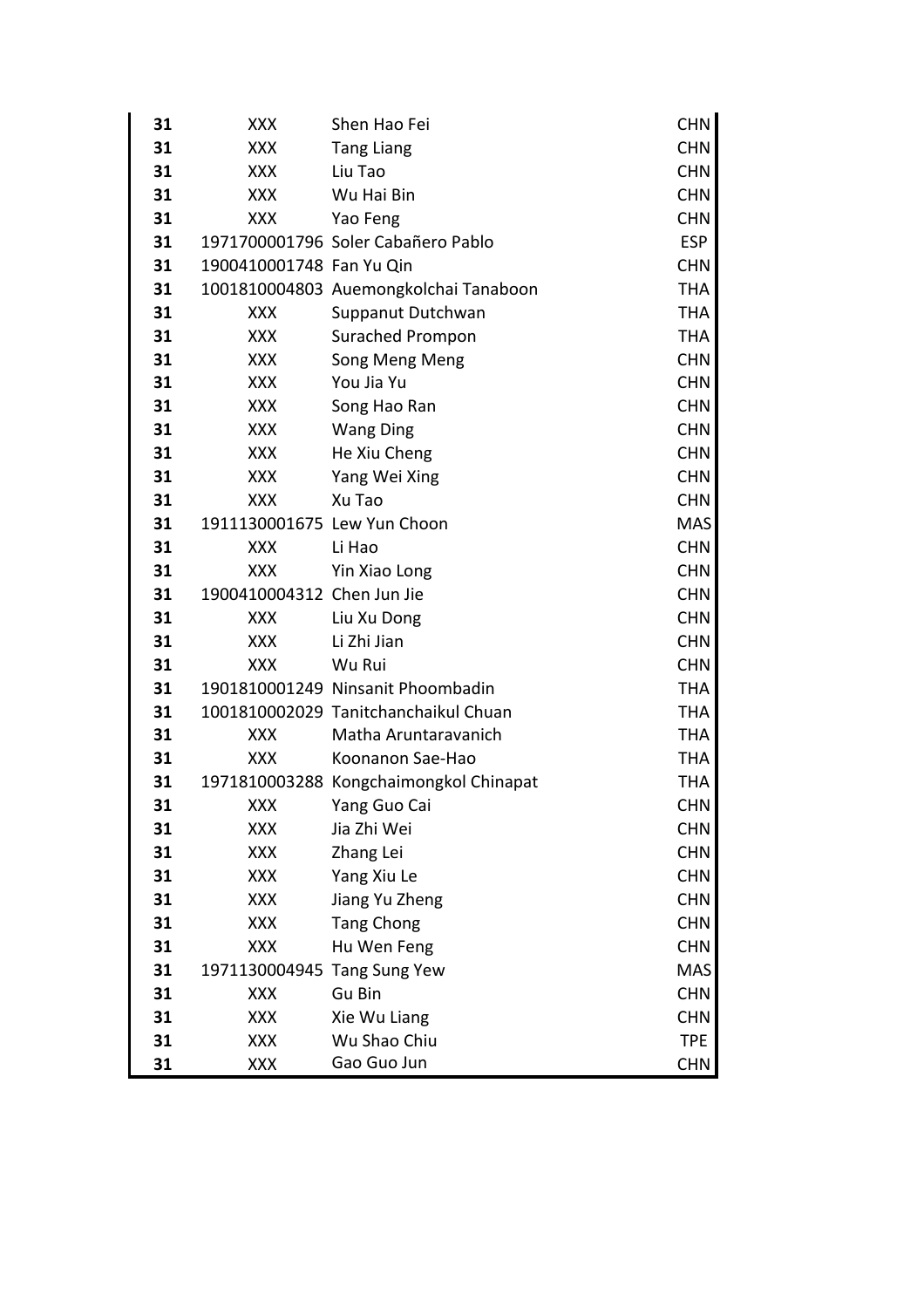| 31 | XXX                         | Shen Hao Fei                           | <b>CHN</b> |
|----|-----------------------------|----------------------------------------|------------|
| 31 | <b>XXX</b>                  | <b>Tang Liang</b>                      | <b>CHN</b> |
| 31 | <b>XXX</b>                  | Liu Tao                                | <b>CHN</b> |
| 31 | <b>XXX</b>                  | Wu Hai Bin                             | <b>CHN</b> |
| 31 | <b>XXX</b>                  | Yao Feng                               | <b>CHN</b> |
| 31 |                             | 1971700001796 Soler Cabañero Pablo     | <b>ESP</b> |
| 31 | 1900410001748 Fan Yu Qin    |                                        | <b>CHN</b> |
| 31 |                             | 1001810004803 Auemongkolchai Tanaboon  | <b>THA</b> |
| 31 | XXX                         | Suppanut Dutchwan                      | <b>THA</b> |
| 31 | <b>XXX</b>                  | <b>Surached Prompon</b>                | <b>THA</b> |
| 31 | <b>XXX</b>                  | Song Meng Meng                         | <b>CHN</b> |
| 31 | <b>XXX</b>                  | You Jia Yu                             | <b>CHN</b> |
| 31 | <b>XXX</b>                  | Song Hao Ran                           | <b>CHN</b> |
| 31 | <b>XXX</b>                  | <b>Wang Ding</b>                       | <b>CHN</b> |
| 31 | <b>XXX</b>                  | He Xiu Cheng                           | <b>CHN</b> |
| 31 | <b>XXX</b>                  | Yang Wei Xing                          | <b>CHN</b> |
| 31 | XXX                         | Xu Tao                                 | <b>CHN</b> |
| 31 | 1911130001675 Lew Yun Choon |                                        | <b>MAS</b> |
| 31 | <b>XXX</b>                  | Li Hao                                 | <b>CHN</b> |
| 31 | <b>XXX</b>                  | Yin Xiao Long                          | <b>CHN</b> |
| 31 | 1900410004312 Chen Jun Jie  |                                        | <b>CHN</b> |
| 31 | <b>XXX</b>                  | Liu Xu Dong                            | <b>CHN</b> |
| 31 | <b>XXX</b>                  | Li Zhi Jian                            | <b>CHN</b> |
| 31 | <b>XXX</b>                  | Wu Rui                                 | <b>CHN</b> |
| 31 |                             | 1901810001249 Ninsanit Phoombadin      | <b>THA</b> |
| 31 |                             | 1001810002029 Tanitchanchaikul Chuan   | THA        |
| 31 | <b>XXX</b>                  | Matha Aruntaravanich                   | THA        |
| 31 | XXX                         | Koonanon Sae-Hao                       | THA        |
| 31 |                             | 1971810003288 Kongchaimongkol Chinapat | THA        |
| 31 | <b>XXX</b>                  | Yang Guo Cai                           | <b>CHN</b> |
| 31 | <b>XXX</b>                  | Jia Zhi Wei                            | <b>CHN</b> |
| 31 | XXX                         | Zhang Lei                              | <b>CHN</b> |
| 31 | <b>XXX</b>                  | Yang Xiu Le                            | <b>CHN</b> |
| 31 | XXX                         | Jiang Yu Zheng                         | <b>CHN</b> |
| 31 | XXX                         | <b>Tang Chong</b>                      | <b>CHN</b> |
| 31 | <b>XXX</b>                  | Hu Wen Feng                            | <b>CHN</b> |
| 31 | 1971130004945 Tang Sung Yew |                                        | <b>MAS</b> |
| 31 | <b>XXX</b>                  | Gu Bin                                 | <b>CHN</b> |
| 31 | XXX                         | Xie Wu Liang                           | <b>CHN</b> |
| 31 | <b>XXX</b>                  | Wu Shao Chiu                           | <b>TPE</b> |
| 31 | XXX                         | Gao Guo Jun                            | <b>CHN</b> |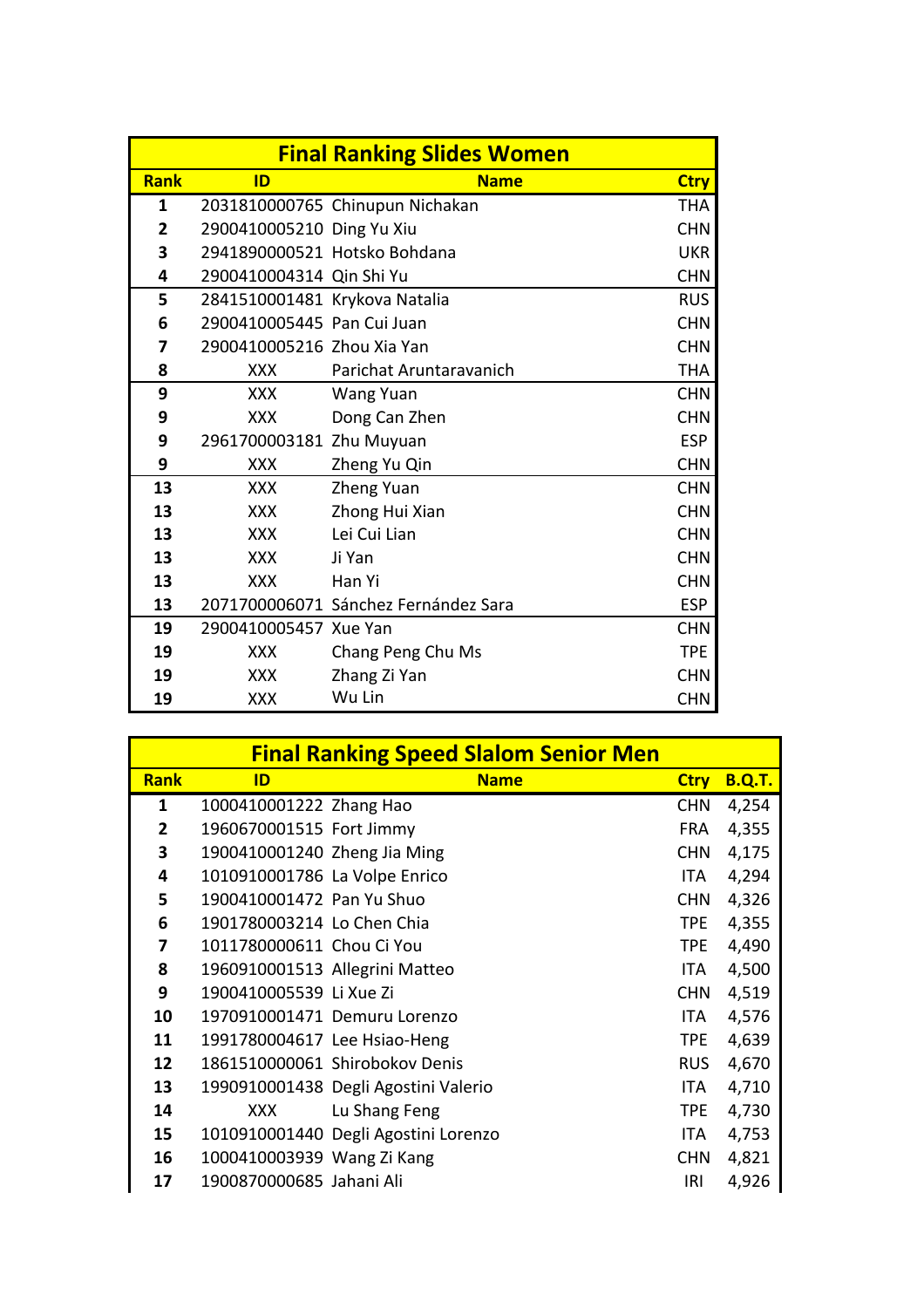| <b>Final Ranking Slides Women</b> |                               |                                      |             |
|-----------------------------------|-------------------------------|--------------------------------------|-------------|
| <b>Rank</b>                       | ID                            | <b>Name</b>                          | <b>Ctry</b> |
| 1                                 |                               | 2031810000765 Chinupun Nichakan      | <b>THA</b>  |
| $\overline{2}$                    | 2900410005210 Ding Yu Xiu     |                                      | <b>CHN</b>  |
| 3                                 |                               | 2941890000521 Hotsko Bohdana         | <b>UKR</b>  |
| 4                                 | 2900410004314 Qin Shi Yu      |                                      | <b>CHN</b>  |
| 5                                 | 2841510001481 Krykova Natalia |                                      | <b>RUS</b>  |
| 6                                 | 2900410005445 Pan Cui Juan    |                                      | <b>CHN</b>  |
| 7                                 | 2900410005216 Zhou Xia Yan    |                                      | <b>CHN</b>  |
| 8                                 | <b>XXX</b>                    | Parichat Aruntaravanich              | <b>THA</b>  |
| 9                                 | <b>XXX</b>                    | <b>Wang Yuan</b>                     | <b>CHN</b>  |
| 9                                 | <b>XXX</b>                    | Dong Can Zhen                        | <b>CHN</b>  |
| 9                                 | 2961700003181 Zhu Muyuan      |                                      | <b>ESP</b>  |
| 9                                 | <b>XXX</b>                    | Zheng Yu Qin                         | <b>CHN</b>  |
| 13                                | <b>XXX</b>                    | Zheng Yuan                           | <b>CHN</b>  |
| 13                                | <b>XXX</b>                    | Zhong Hui Xian                       | <b>CHN</b>  |
| 13                                | <b>XXX</b>                    | Lei Cui Lian                         | <b>CHN</b>  |
| 13                                | <b>XXX</b>                    | Ji Yan                               | <b>CHN</b>  |
| 13                                | <b>XXX</b>                    | Han Yi                               | <b>CHN</b>  |
| 13                                |                               | 2071700006071 Sánchez Fernández Sara | <b>ESP</b>  |
| 19                                | 2900410005457 Xue Yan         |                                      | <b>CHN</b>  |
| 19                                | <b>XXX</b>                    | Chang Peng Chu Ms                    | <b>TPE</b>  |
| 19                                | <b>XXX</b>                    | Zhang Zi Yan                         | <b>CHN</b>  |
| 19                                | <b>XXX</b>                    | Wu Lin                               | <b>CHN</b>  |

|              |                               | <b>Final Ranking Speed Slalom Senior Men</b> |             |               |
|--------------|-------------------------------|----------------------------------------------|-------------|---------------|
| <b>Rank</b>  | ID                            | <b>Name</b>                                  | <b>Ctry</b> | <b>B.Q.T.</b> |
| 1            | 1000410001222 Zhang Hao       |                                              | <b>CHN</b>  | 4,254         |
| $\mathbf{2}$ | 1960670001515 Fort Jimmy      |                                              | <b>FRA</b>  | 4,355         |
| 3            | 1900410001240 Zheng Jia Ming  |                                              | <b>CHN</b>  | 4,175         |
| 4            | 1010910001786 La Volpe Enrico |                                              | ITA         | 4,294         |
| 5            | 1900410001472 Pan Yu Shuo     |                                              | <b>CHN</b>  | 4,326         |
| 6            | 1901780003214 Lo Chen Chia    |                                              | TPE         | 4,355         |
| 7            | 1011780000611 Chou Ci You     |                                              | <b>TPE</b>  | 4,490         |
| 8            |                               | 1960910001513 Allegrini Matteo               | ITA         | 4,500         |
| 9            | 1900410005539 Li Xue Zi       |                                              | <b>CHN</b>  | 4,519         |
| 10           |                               | 1970910001471 Demuru Lorenzo                 | ITA.        | 4,576         |
| 11           | 1991780004617 Lee Hsiao-Heng  |                                              | <b>TPE</b>  | 4,639         |
| 12           |                               | 1861510000061 Shirobokov Denis               | <b>RUS</b>  | 4,670         |
| 13           |                               | 1990910001438 Degli Agostini Valerio         | ITA         | 4,710         |
| 14           | XXX                           | Lu Shang Feng                                | <b>TPE</b>  | 4,730         |
| 15           |                               | 1010910001440 Degli Agostini Lorenzo         | ITA.        | 4,753         |
| 16           | 1000410003939 Wang Zi Kang    |                                              | <b>CHN</b>  | 4,821         |
| 17           | 1900870000685 Jahani Ali      |                                              | IRI         | 4,926         |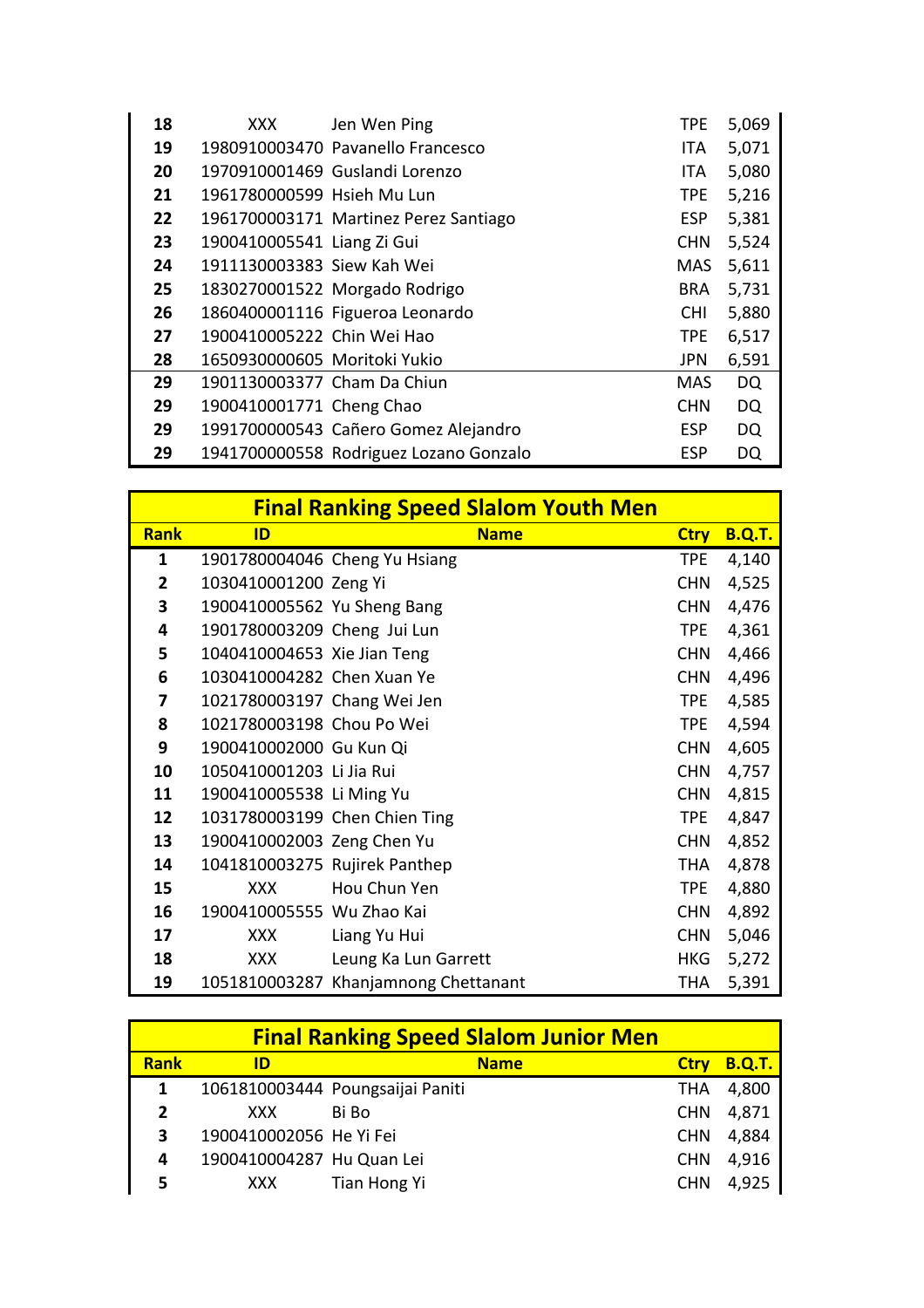| 18 | XXX                          | Jen Wen Ping                           | <b>TPE</b> | 5,069     |
|----|------------------------------|----------------------------------------|------------|-----------|
| 19 |                              | 1980910003470 Pavanello Francesco      | ITA.       | 5,071     |
| 20 |                              | 1970910001469 Guslandi Lorenzo         | ITA.       | 5,080     |
| 21 | 1961780000599 Hsieh Mu Lun   |                                        | TPE.       | 5,216     |
| 22 |                              | 1961700003171 Martinez Perez Santiago  | <b>ESP</b> | 5,381     |
| 23 | 1900410005541 Liang Zi Gui   |                                        | <b>CHN</b> | 5,524     |
| 24 | 1911130003383 Siew Kah Wei   |                                        | MAS.       | 5,611     |
| 25 |                              | 1830270001522 Morgado Rodrigo          | <b>BRA</b> | 5,731     |
| 26 |                              | 1860400001116 Figueroa Leonardo        | <b>CHI</b> | 5,880     |
| 27 | 1900410005222 Chin Wei Hao   |                                        | TPE.       | 6,517     |
| 28 | 1650930000605 Moritoki Yukio |                                        | <b>JPN</b> | 6,591     |
| 29 | 1901130003377 Cham Da Chiun  |                                        | <b>MAS</b> | <b>DQ</b> |
| 29 | 1900410001771 Cheng Chao     |                                        | <b>CHN</b> | <b>DQ</b> |
| 29 |                              | 1991700000543 Cañero Gomez Alejandro   | <b>ESP</b> | DQ        |
| 29 |                              | 1941700000558 Rodriguez Lozano Gonzalo | <b>ESP</b> | DQ        |

|             |                             | <b>Final Ranking Speed Slalom Youth Men</b> |             |               |
|-------------|-----------------------------|---------------------------------------------|-------------|---------------|
| <b>Rank</b> | ID                          | <b>Name</b>                                 | <b>Ctry</b> | <b>B.Q.T.</b> |
| 1           |                             | 1901780004046 Cheng Yu Hsiang               | <b>TPE</b>  | 4,140         |
| 2           | 1030410001200 Zeng Yi       |                                             | <b>CHN</b>  | 4,525         |
| 3           | 1900410005562 Yu Sheng Bang |                                             | <b>CHN</b>  | 4,476         |
| 4           | 1901780003209 Cheng Jui Lun |                                             | <b>TPE</b>  | 4,361         |
| 5           | 1040410004653 Xie Jian Teng |                                             | <b>CHN</b>  | 4,466         |
| 6           | 1030410004282 Chen Xuan Ye  |                                             | <b>CHN</b>  | 4,496         |
| 7           | 1021780003197 Chang Wei Jen |                                             | <b>TPE</b>  | 4,585         |
| 8           | 1021780003198 Chou Po Wei   |                                             | <b>TPE</b>  | 4,594         |
| 9           | 1900410002000 Gu Kun Qi     |                                             | <b>CHN</b>  | 4,605         |
| 10          | 1050410001203 Li Jia Rui    |                                             | <b>CHN</b>  | 4,757         |
| 11          | 1900410005538 Li Ming Yu    |                                             | <b>CHN</b>  | 4,815         |
| 12          |                             | 1031780003199 Chen Chien Ting               | <b>TPE</b>  | 4,847         |
| 13          | 1900410002003 Zeng Chen Yu  |                                             | <b>CHN</b>  | 4,852         |
| 14          |                             | 1041810003275 Rujirek Panthep               | <b>THA</b>  | 4,878         |
| 15          | <b>XXX</b>                  | Hou Chun Yen                                | <b>TPE</b>  | 4,880         |
| 16          | 1900410005555 Wu Zhao Kai   |                                             | <b>CHN</b>  | 4,892         |
| 17          | XXX                         | Liang Yu Hui                                | <b>CHN</b>  | 5,046         |
| 18          | XXX                         | Leung Ka Lun Garrett                        | <b>HKG</b>  | 5,272         |
| 19          |                             | 1051810003287 Khanjamnong Chettanant        | <b>THA</b>  | 5,391         |

|             |                           |                                  | <b>Final Ranking Speed Slalom Junior Men</b> |             |               |
|-------------|---------------------------|----------------------------------|----------------------------------------------|-------------|---------------|
| <b>Rank</b> | ID                        |                                  | <b>Name</b>                                  | <b>Ctrv</b> | <b>B.Q.T.</b> |
| 1           |                           | 1061810003444 Poungsaijai Paniti |                                              | THA         | 4,800         |
|             | XXX.                      | Bi Bo                            |                                              | <b>CHN</b>  | 4,871         |
| 3           | 1900410002056 He Yi Fei   |                                  |                                              | <b>CHN</b>  | 4,884         |
| 4           | 1900410004287 Hu Quan Lei |                                  |                                              | <b>CHN</b>  | 4,916         |
| 5           | XXX.                      | Tian Hong Yi                     |                                              | <b>CHN</b>  | 4,925         |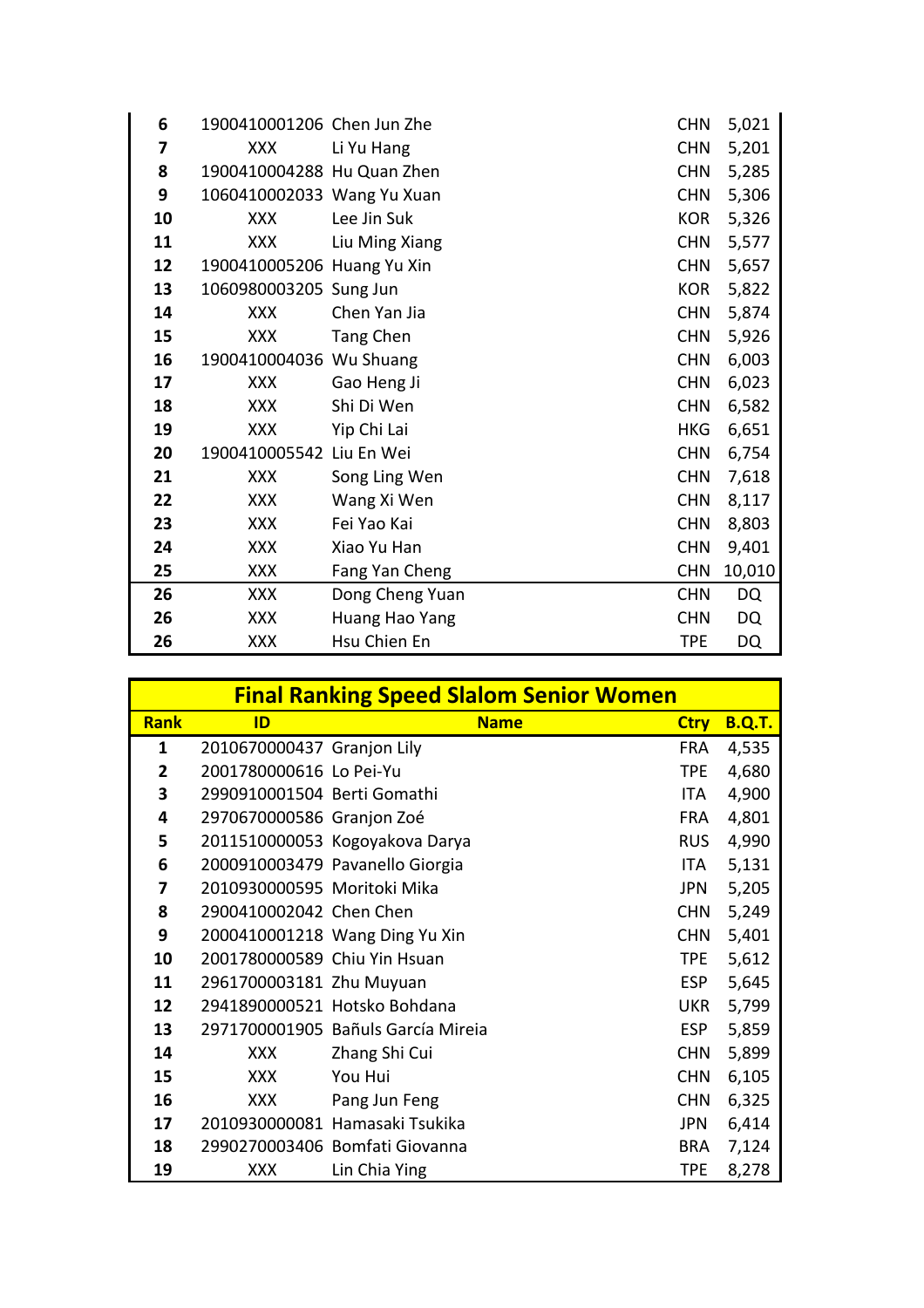| 6  | 1900410001206 Chen Jun Zhe |                 | <b>CHN</b> | 5,021  |
|----|----------------------------|-----------------|------------|--------|
| 7  | <b>XXX</b>                 | Li Yu Hang      | <b>CHN</b> | 5,201  |
| 8  | 1900410004288 Hu Quan Zhen |                 | <b>CHN</b> | 5,285  |
| 9  | 1060410002033 Wang Yu Xuan |                 | <b>CHN</b> | 5,306  |
| 10 | <b>XXX</b>                 | Lee Jin Suk     | <b>KOR</b> | 5,326  |
| 11 | <b>XXX</b>                 | Liu Ming Xiang  | <b>CHN</b> | 5,577  |
| 12 | 1900410005206 Huang Yu Xin |                 | <b>CHN</b> | 5,657  |
| 13 | 1060980003205 Sung Jun     |                 | <b>KOR</b> | 5,822  |
| 14 | <b>XXX</b>                 | Chen Yan Jia    | <b>CHN</b> | 5,874  |
| 15 | <b>XXX</b>                 | Tang Chen       | <b>CHN</b> | 5,926  |
| 16 | 1900410004036 Wu Shuang    |                 | <b>CHN</b> | 6,003  |
| 17 | <b>XXX</b>                 | Gao Heng Ji     | <b>CHN</b> | 6,023  |
| 18 | <b>XXX</b>                 | Shi Di Wen      | <b>CHN</b> | 6,582  |
| 19 | <b>XXX</b>                 | Yip Chi Lai     | <b>HKG</b> | 6,651  |
| 20 | 1900410005542 Liu En Wei   |                 | <b>CHN</b> | 6,754  |
| 21 | <b>XXX</b>                 | Song Ling Wen   | <b>CHN</b> | 7,618  |
| 22 | <b>XXX</b>                 | Wang Xi Wen     | <b>CHN</b> | 8,117  |
| 23 | <b>XXX</b>                 | Fei Yao Kai     | <b>CHN</b> | 8,803  |
| 24 | <b>XXX</b>                 | Xiao Yu Han     | <b>CHN</b> | 9,401  |
| 25 | <b>XXX</b>                 | Fang Yan Cheng  | <b>CHN</b> | 10,010 |
| 26 | <b>XXX</b>                 | Dong Cheng Yuan | <b>CHN</b> | DQ     |
| 26 | <b>XXX</b>                 | Huang Hao Yang  | <b>CHN</b> | DQ     |
| 26 | <b>XXX</b>                 | Hsu Chien En    | TPE        | DQ     |

|             |                              | <b>Final Ranking Speed Slalom Senior Women</b> |             |               |
|-------------|------------------------------|------------------------------------------------|-------------|---------------|
| <b>Rank</b> | ID                           | <b>Name</b>                                    | <b>Ctry</b> | <b>B.Q.T.</b> |
| 1           | 2010670000437 Granjon Lily   |                                                | <b>FRA</b>  | 4,535         |
| 2           | 2001780000616 Lo Pei-Yu      |                                                | <b>TPE</b>  | 4,680         |
| 3           | 2990910001504 Berti Gomathi  |                                                | <b>ITA</b>  | 4,900         |
| 4           | 2970670000586 Granjon Zoé    |                                                | <b>FRA</b>  | 4,801         |
| 5           |                              | 2011510000053 Kogoyakova Darya                 | <b>RUS</b>  | 4,990         |
| 6           |                              | 2000910003479 Pavanello Giorgia                | ITA.        | 5,131         |
| 7           | 2010930000595 Moritoki Mika  |                                                | <b>JPN</b>  | 5,205         |
| 8           | 2900410002042 Chen Chen      |                                                | <b>CHN</b>  | 5,249         |
| 9           |                              | 2000410001218 Wang Ding Yu Xin                 | <b>CHN</b>  | 5,401         |
| 10          | 2001780000589 Chiu Yin Hsuan |                                                | <b>TPE</b>  | 5,612         |
| 11          | 2961700003181 Zhu Muyuan     |                                                | <b>ESP</b>  | 5,645         |
| 12          |                              | 2941890000521 Hotsko Bohdana                   | <b>UKR</b>  | 5,799         |
| 13          |                              | 2971700001905 Bañuls García Mireia             | <b>ESP</b>  | 5,859         |
| 14          | <b>XXX</b>                   | Zhang Shi Cui                                  | <b>CHN</b>  | 5,899         |
| 15          | XXX                          | You Hui                                        | <b>CHN</b>  | 6,105         |
| 16          | <b>XXX</b>                   | Pang Jun Feng                                  | <b>CHN</b>  | 6,325         |
| 17          |                              | 2010930000081 Hamasaki Tsukika                 | <b>JPN</b>  | 6,414         |
| 18          |                              | 2990270003406 Bomfati Giovanna                 | <b>BRA</b>  | 7,124         |
| 19          | XXX                          | Lin Chia Ying                                  | TPE         | 8,278         |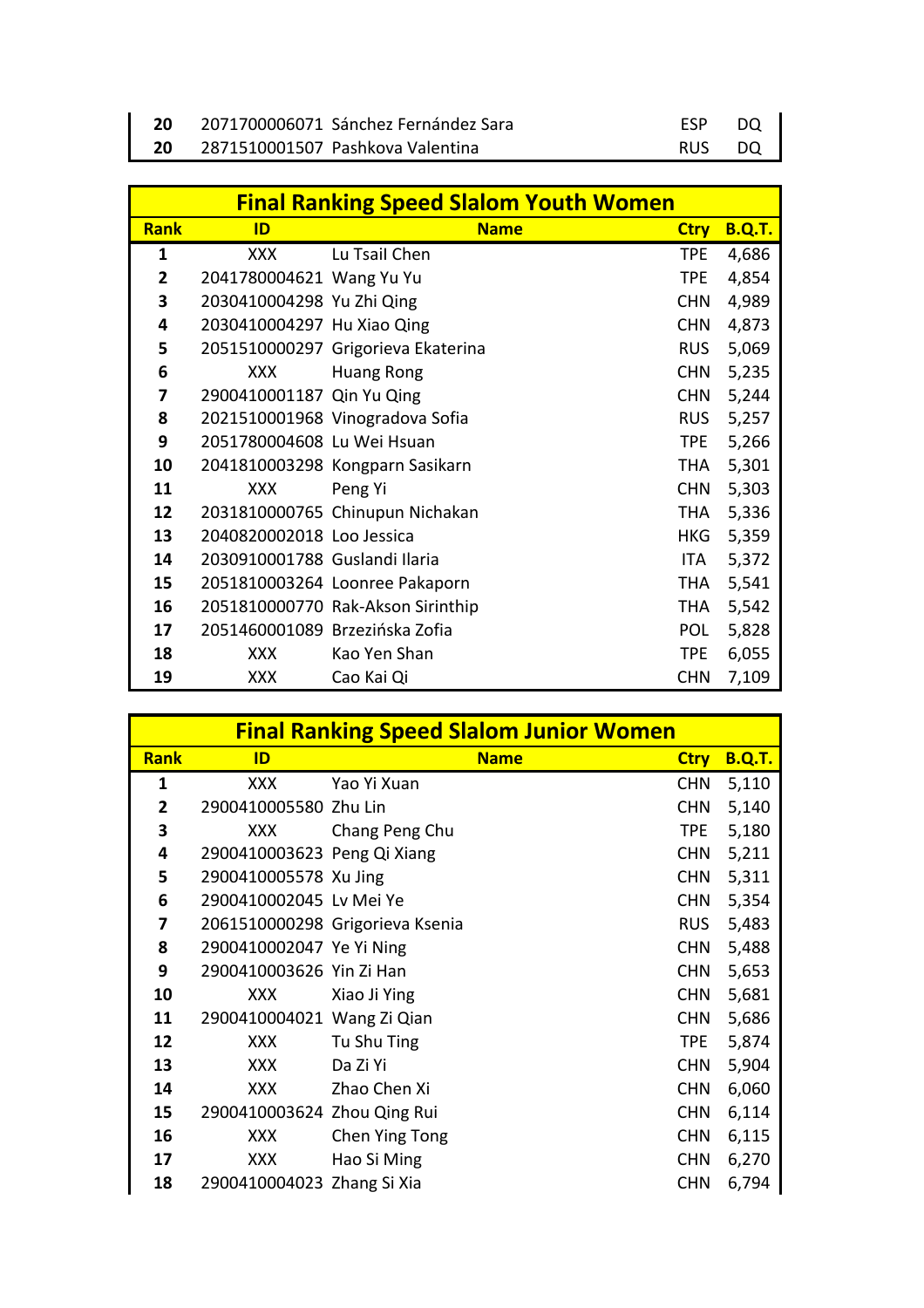| 2071700006071 Sánchez Fernández Sara | <b>FSP</b> | DO.  |
|--------------------------------------|------------|------|
| 2871510001507 Pashkova Valentina     | <b>RUS</b> | - DO |

|                |                                | <b>Final Ranking Speed Slalom Youth Women</b> |             |               |
|----------------|--------------------------------|-----------------------------------------------|-------------|---------------|
| <b>Rank</b>    | ID                             | <b>Name</b>                                   | <b>Ctry</b> | <b>B.Q.T.</b> |
| 1              | <b>XXX</b>                     | Lu Tsail Chen                                 | <b>TPE</b>  | 4,686         |
| $\overline{2}$ | 2041780004621 Wang Yu Yu       |                                               | <b>TPE</b>  | 4,854         |
| 3              | 2030410004298 Yu Zhi Qing      |                                               | <b>CHN</b>  | 4,989         |
| 4              | 2030410004297 Hu Xiao Qing     |                                               | <b>CHN</b>  | 4,873         |
| 5              |                                | 2051510000297 Grigorieva Ekaterina            | <b>RUS</b>  | 5,069         |
| 6              | <b>XXX</b>                     | <b>Huang Rong</b>                             | <b>CHN</b>  | 5,235         |
| 7              | 2900410001187 Qin Yu Qing      |                                               | <b>CHN</b>  | 5,244         |
| 8              |                                | 2021510001968 Vinogradova Sofia               | <b>RUS</b>  | 5,257         |
| 9              | 2051780004608 Lu Wei Hsuan     |                                               | <b>TPE</b>  | 5,266         |
| 10             |                                | 2041810003298 Kongparn Sasikarn               | <b>THA</b>  | 5,301         |
| 11             | <b>XXX</b>                     | Peng Yi                                       | <b>CHN</b>  | 5,303         |
| 12             |                                | 2031810000765 Chinupun Nichakan               | <b>THA</b>  | 5,336         |
| 13             | 2040820002018 Loo Jessica      |                                               | <b>HKG</b>  | 5,359         |
| 14             | 2030910001788 Guslandi Ilaria  |                                               | ITA         | 5,372         |
| 15             |                                | 2051810003264 Loonree Pakaporn                | <b>THA</b>  | 5,541         |
| 16             |                                | 2051810000770 Rak-Akson Sirinthip             | <b>THA</b>  | 5,542         |
| 17             | 2051460001089 Brzezińska Zofia |                                               | <b>POL</b>  | 5,828         |
| 18             | <b>XXX</b>                     | Kao Yen Shan                                  | <b>TPE</b>  | 6,055         |
| 19             | <b>XXX</b>                     | Cao Kai Qi                                    | <b>CHN</b>  | 7,109         |

|                |                             |                                 | <b>Final Ranking Speed Slalom Junior Women</b> |             |               |
|----------------|-----------------------------|---------------------------------|------------------------------------------------|-------------|---------------|
| <b>Rank</b>    | ID                          |                                 | <b>Name</b>                                    | <b>Ctry</b> | <b>B.Q.T.</b> |
| 1              | XXX                         | Yao Yi Xuan                     |                                                | <b>CHN</b>  | 5,110         |
| $\overline{2}$ | 2900410005580 Zhu Lin       |                                 |                                                | <b>CHN</b>  | 5,140         |
| 3              | XXX                         | Chang Peng Chu                  |                                                | <b>TPE</b>  | 5,180         |
| 4              | 2900410003623 Peng Qi Xiang |                                 |                                                | <b>CHN</b>  | 5,211         |
| 5              | 2900410005578 Xu Jing       |                                 |                                                | <b>CHN</b>  | 5,311         |
| 6              | 2900410002045 Lv Mei Ye     |                                 |                                                | <b>CHN</b>  | 5,354         |
| 7              |                             | 2061510000298 Grigorieva Ksenia |                                                | <b>RUS</b>  | 5,483         |
| 8              | 2900410002047 Ye Yi Ning    |                                 |                                                | <b>CHN</b>  | 5,488         |
| 9              | 2900410003626 Yin Zi Han    |                                 |                                                | <b>CHN</b>  | 5,653         |
| 10             | XXX                         | Xiao Ji Ying                    |                                                | <b>CHN</b>  | 5,681         |
| 11             | 2900410004021 Wang Zi Qian  |                                 |                                                | <b>CHN</b>  | 5,686         |
| 12             | <b>XXX</b>                  | Tu Shu Ting                     |                                                | <b>TPE</b>  | 5,874         |
| 13             | <b>XXX</b>                  | Da Zi Yi                        |                                                | <b>CHN</b>  | 5,904         |
| 14             | XXX                         | Zhao Chen Xi                    |                                                | <b>CHN</b>  | 6,060         |
| 15             | 2900410003624 Zhou Qing Rui |                                 |                                                | <b>CHN</b>  | 6,114         |
| 16             | <b>XXX</b>                  | Chen Ying Tong                  |                                                | <b>CHN</b>  | 6,115         |
| 17             | XXX                         | Hao Si Ming                     |                                                | <b>CHN</b>  | 6,270         |
| 18             | 2900410004023 Zhang Si Xia  |                                 |                                                | <b>CHN</b>  | 6,794         |